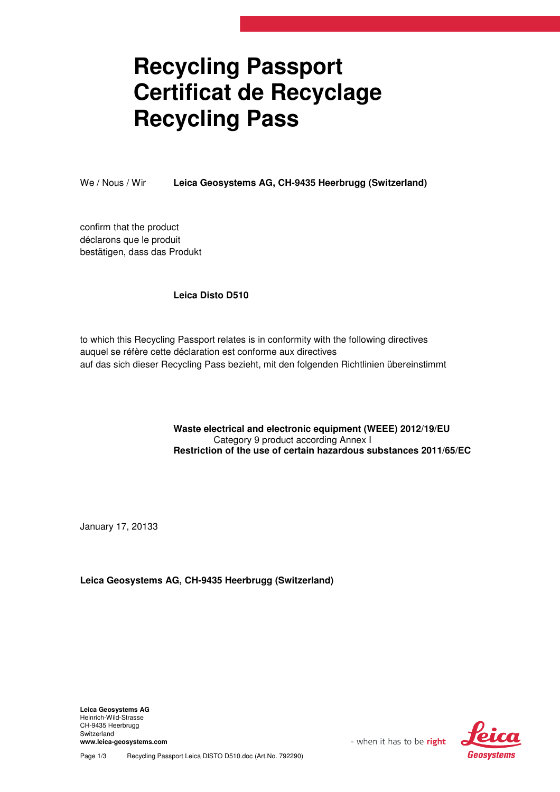## **Recycling Passport Certificat de Recyclage Recycling Pass**

We / Nous / Wir **Leica Geosystems AG, CH-9435 Heerbrugg (Switzerland)**

confirm that the product déclarons que le produit bestätigen, dass das Produkt

## **Leica Disto D510**

to which this Recycling Passport relates is in conformity with the following directives auquel se réfère cette déclaration est conforme aux directives auf das sich dieser Recycling Pass bezieht, mit den folgenden Richtlinien übereinstimmt

> **Waste electrical and electronic equipment (WEEE) 2012/19/EU**  Category 9 product according Annex I **Restriction of the use of certain hazardous substances 2011/65/EC**

January 17, 20133

**Leica Geosystems AG, CH-9435 Heerbrugg (Switzerland)**

**Leica Geosystems AG**  Heinrich-Wild-Strasse CH-9435 Heerbrugg Switzerland **www.leica-geosystems.com** 



Page 1/3 Recycling Passport Leica DISTO D510.doc (Art.No. 792290)

- when it has to be right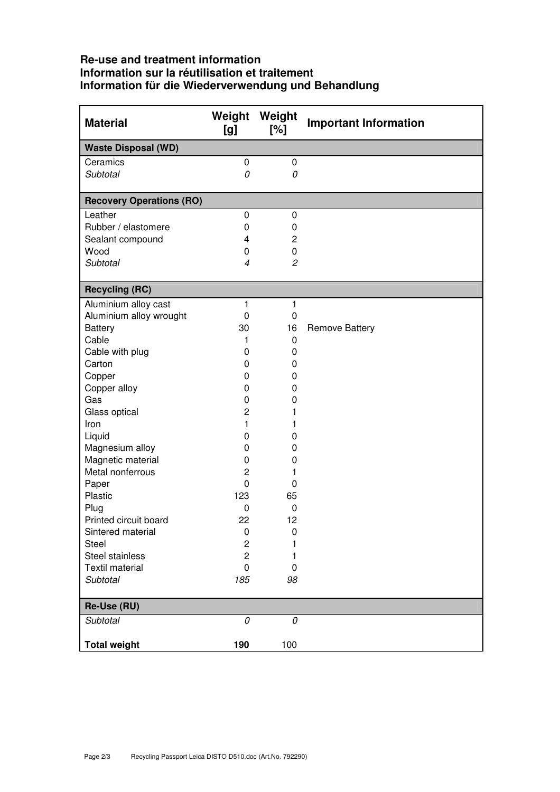## **Re-use and treatment information Information sur la réutilisation et traitement Information für die Wiederverwendung und Behandlung**

| <b>Material</b>                 | Weight<br>[g]            | Weight<br>[%]  | <b>Important Information</b> |
|---------------------------------|--------------------------|----------------|------------------------------|
| <b>Waste Disposal (WD)</b>      |                          |                |                              |
| Ceramics                        | 0                        | 0              |                              |
| Subtotal                        | 0                        | 0              |                              |
| <b>Recovery Operations (RO)</b> |                          |                |                              |
| Leather                         | 0                        | $\mathbf 0$    |                              |
| Rubber / elastomere             | 0                        | 0              |                              |
| Sealant compound                | 4                        | $\overline{2}$ |                              |
| Wood                            | 0                        | 0              |                              |
| Subtotal                        | $\overline{\mathcal{A}}$ | $\overline{c}$ |                              |
|                                 |                          |                |                              |
| <b>Recycling (RC)</b>           |                          |                |                              |
| Aluminium alloy cast            | 1                        | 1              |                              |
| Aluminium alloy wrought         | 0                        | 0              |                              |
| <b>Battery</b>                  | 30                       | 16             | <b>Remove Battery</b>        |
| Cable                           | 1                        | 0              |                              |
| Cable with plug                 | 0                        | 0              |                              |
| Carton                          | 0                        | 0              |                              |
| Copper                          | 0                        | 0              |                              |
| Copper alloy                    | 0                        | 0              |                              |
| Gas                             | 0                        | 0              |                              |
| Glass optical                   | 2                        | 1              |                              |
| Iron                            | 1                        | 1              |                              |
| Liquid                          | 0                        | 0              |                              |
| Magnesium alloy                 | 0                        | 0              |                              |
| Magnetic material               | 0                        | 0              |                              |
| Metal nonferrous                | $\overline{c}$           | 1              |                              |
| Paper                           | 0                        | 0              |                              |
| Plastic                         | 123                      | 65             |                              |
| Plug                            | 0                        | 0              |                              |
| Printed circuit board           | 22                       | 12             |                              |
| Sintered material               | 0                        | 0              |                              |
| <b>Steel</b>                    | $\overline{c}$           |                |                              |
| Steel stainless                 | 2                        |                |                              |
| <b>Textil material</b>          | 0                        | 0              |                              |
| Subtotal                        | 185                      | 98             |                              |
| Re-Use (RU)                     |                          |                |                              |
| Subtotal                        | 0                        | 0              |                              |
|                                 |                          |                |                              |
| <b>Total weight</b>             | 190                      | 100            |                              |